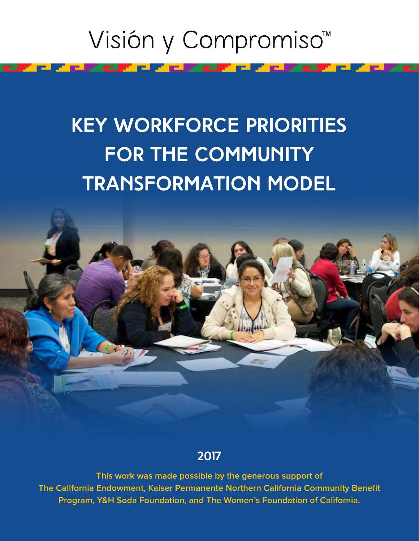# Visión y Compromiso<sup>™</sup>

and the second series

<u> Pilipinas I</u>

F EL A

# **Key Workforce Priorities for the Community Transformation Model**



**2017**

**This work was made possible by the generous support of The California Endowment, Kaiser Permanente Northern California Community Benefit Program, Y&H Soda Foundation, and The Women's Foundation of California.**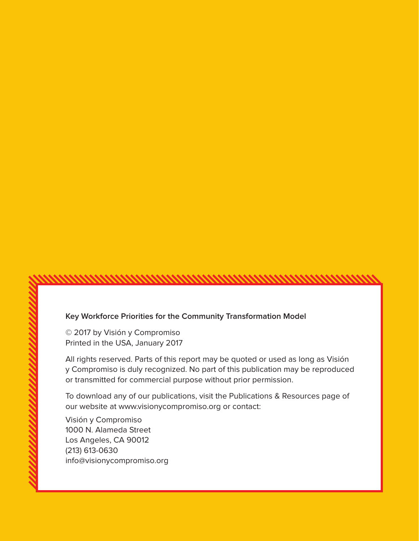#### **Key Workforce Priorities for the Community Transformation Model**

© 2017 by Visión y Compromiso Printed in the USA, January 2017

All rights reserved. Parts of this report may be quoted or used as long as Visión y Compromiso is duly recognized. No part of this publication may be reproduced or transmitted for commercial purpose without prior permission.

To download any of our publications, visit the Publications & Resources page of our website at [www.visionycompromiso.org or](http://www.visionycompromiso.org) contact:

Visión y Compromiso 1000 N. Alameda Street Los Angeles, CA 90012 (213) 613-0630 [info@visionycompromiso.org](mailto:info@visionycompromiso.org)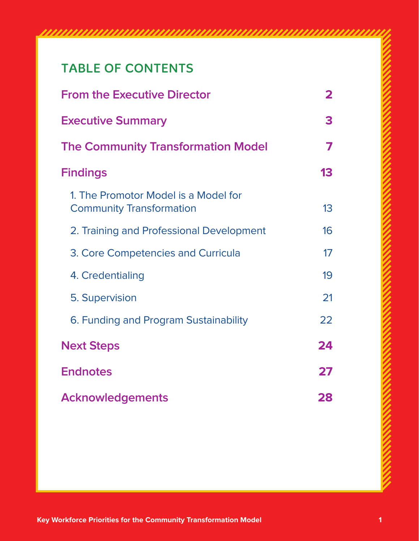# TABLE OF CONTENTS

| <b>From the Executive Director</b>                                      | 2  |
|-------------------------------------------------------------------------|----|
| <b>Executive Summary</b>                                                | 3  |
| <b>The Community Transformation Model</b>                               | 7  |
| <b>Findings</b>                                                         | 13 |
| 1. The Promotor Model is a Model for<br><b>Community Transformation</b> | 13 |
| 2. Training and Professional Development                                | 16 |
| 3. Core Competencies and Curricula                                      | 17 |
| 4. Credentialing                                                        | 19 |
| 5. Supervision                                                          | 21 |
| 6. Funding and Program Sustainability                                   | 22 |
| <b>Next Steps</b>                                                       | 24 |
| <b>Endnotes</b>                                                         | 27 |
| <b>Acknowledgements</b>                                                 | 28 |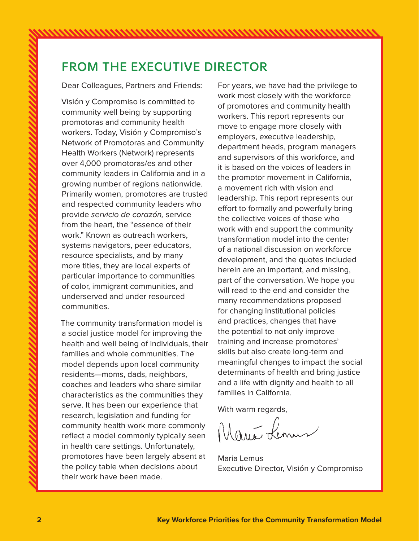Visión y Compromiso is committed to community well being by supporting promotoras and community health workers. Today, Visión y Compromiso's Network of Promotoras and Community Health Workers (Network) represents over 4,000 promotoras/es and other community leaders in California and in a growing number of regions nationwide. Primarily women, promotores are trusted and respected community leaders who provide servicio de corazón, service from the heart, the "essence of their work." Known as outreach workers, systems navigators, peer educators, resource specialists, and by many more titles, they are local experts of particular importance to communities of color, immigrant communities, and underserved and under resourced communities.

The community transformation model is a social justice model for improving the health and well being of individuals, their families and whole communities. The model depends upon local community residents—moms, dads, neighbors, coaches and leaders who share similar characteristics as the communities they serve. It has been our experience that research, legislation and funding for community health work more commonly reflect a model commonly typically seen in health care settings. Unfortunately, promotores have been largely absent at the policy table when decisions about their work have been made.

For years, we have had the privilege to work most closely with the workforce of promotores and community health workers. This report represents our move to engage more closely with employers, executive leadership, department heads, program managers and supervisors of this workforce, and it is based on the voices of leaders in the promotor movement in California, a movement rich with vision and leadership. This report represents our effort to formally and powerfully bring the collective voices of those who work with and support the community transformation model into the center of a national discussion on workforce development, and the quotes included herein are an important, and missing, part of the conversation. We hope you will read to the end and consider the many recommendations proposed for changing institutional policies and practices, changes that have the potential to not only improve training and increase promotores' skills but also create long-term and meaningful changes to impact the social determinants of health and bring justice and a life with dignity and health to all families in California.

With warm regards,<br>Marie Lennes

Maria Lemus Executive Director, Visión y Compromiso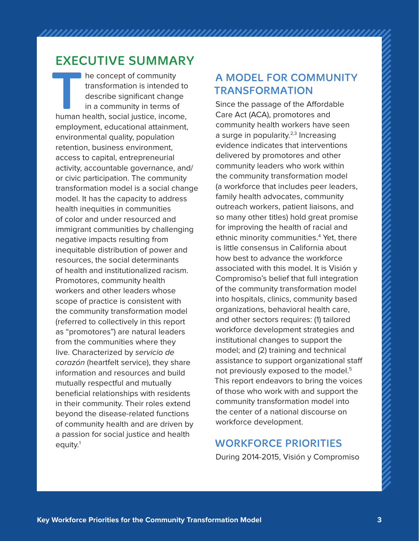# EXECUTIVE SUMMARY

**THE PRONAINT COMMUNIST COMMUNITY**<br>
transformation is intended to<br>
describe significant change<br>
in a community in terms of<br>
human health, social justice, income, transformation is intended to describe significant change in a community in terms of employment, educational attainment, environmental quality, population retention, business environment, access to capital, entrepreneurial activity, accountable governance, and/ or civic participation. The community transformation model is a social change model. It has the capacity to address health inequities in communities of color and under resourced and immigrant communities by challenging negative impacts resulting from inequitable distribution of power and resources, the social determinants of health and institutionalized racism. Promotores, community health workers and other leaders whose scope of practice is consistent with the community transformation model (referred to collectively in this report as "promotores") are natural leaders from the communities where they live. Characterized by servicio de corazón (heartfelt service), they share information and resources and build mutually respectful and mutually beneficial relationships with residents in their community. Their roles extend beyond the disease-related functions of community health and are driven by a passion for social justice and health equity. $1$ 

# A MODEL FOR COMMUNITY TRANSFORMATION

Since the passage of the Affordable Care Act (ACA), promotores and community health workers have seen a surge in popularity. $2,3$  Increasing evidence indicates that interventions delivered by promotores and other community leaders who work within the community transformation model (a workforce that includes peer leaders, family health advocates, community outreach workers, patient liaisons, and so many other titles) hold great promise for improving the health of racial and ethnic minority communities.4 Yet, there is little consensus in California about how best to advance the workforce associated with this model. It is Visión y Compromiso's belief that full integration of the community transformation model into hospitals, clinics, community based organizations, behavioral health care, and other sectors requires: (1) tailored workforce development strategies and institutional changes to support the model; and (2) training and technical assistance to support organizational staff not previously exposed to the model.5 This report endeavors to bring the voices of those who work with and support the community transformation model into the center of a national discourse on workforce development.

# WORKFORCE PRIORITIES

During 2014-2015, Visión y Compromiso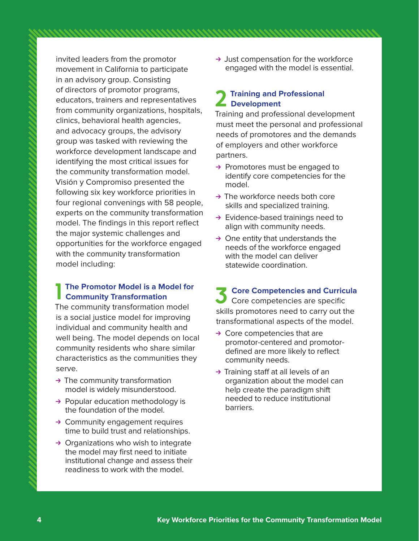invited leaders from the promotor movement in California to participate in an advisory group. Consisting of directors of promotor programs, educators, trainers and representatives from community organizations, hospitals, clinics, behavioral health agencies, and advocacy groups, the advisory group was tasked with reviewing the workforce development landscape and identifying the most critical issues for the community transformation model. Visión y Compromiso presented the following six key workforce priorities in four regional convenings with 58 people, experts on the community transformation model. The findings in this report reflect the major systemic challenges and opportunities for the workforce engaged with the community transformation model including:

### **1** The Promotor Model is a Mexicon Community Transformation **The Promotor Model is a Model for**

The community transformation model is a social justice model for improving individual and community health and well being. The model depends on local community residents who share similar characteristics as the communities they serve.

- $\rightarrow$  The community transformation model is widely misunderstood.
- $\rightarrow$  Popular education methodology is the foundation of the model.
- $\rightarrow$  Community engagement requires time to build trust and relationships.
- $\rightarrow$  Organizations who wish to integrate the model may first need to initiate institutional change and assess their readiness to work with the model.

 $\rightarrow$  Just compensation for the workforce engaged with the model is essential.

### **2 Training and Professional Development**

Training and professional development must meet the personal and professional needs of promotores and the demands of employers and other workforce partners.

- $\rightarrow$  Promotores must be engaged to identify core competencies for the model.
- $\rightarrow$  The workforce needs both core skills and specialized training.
- $\rightarrow$  Evidence-based trainings need to align with community needs.
- $\rightarrow$  One entity that understands the needs of the workforce engaged with the model can deliver statewide coordination.

**3 Core Competencies and Curricula** Core competencies are specific skills promotores need to carry out the transformational aspects of the model.

- $\rightarrow$  Core competencies that are promotor-centered and promotordefined are more likely to reflect community needs.
- $\rightarrow$  Training staff at all levels of an organization about the model can help create the paradigm shift needed to reduce institutional barriers.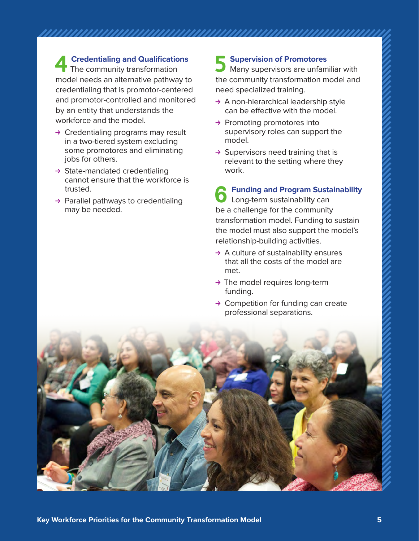**4 Credentialing and Qualifications** The community transformation model needs an alternative pathway to credentialing that is promotor-centered and promotor-controlled and monitored by an entity that understands the workforce and the model.

- $\rightarrow$  Credentialing programs may result in a two-tiered system excluding some promotores and eliminating jobs for others.
- $\rightarrow$  State-mandated credentialing cannot ensure that the workforce is trusted.
- $\rightarrow$  Parallel pathways to credentialing may be needed.

### **5 Supervision of Promotores**

Many supervisors are unfamiliar with the community transformation model and need specialized training.

- $\rightarrow$  A non-hierarchical leadership style can be effective with the model.
- $\rightarrow$  Promoting promotores into supervisory roles can support the model.
- $\rightarrow$  Supervisors need training that is relevant to the setting where they work.

**6 Funding and Program Sustainability** Long-term sustainability can be a challenge for the community transformation model. Funding to sustain the model must also support the model's relationship-building activities.

- $\rightarrow$  A culture of sustainability ensures that all the costs of the model are met.
- $\rightarrow$  The model requires long-term funding.
- $\rightarrow$  Competition for funding can create professional separations.

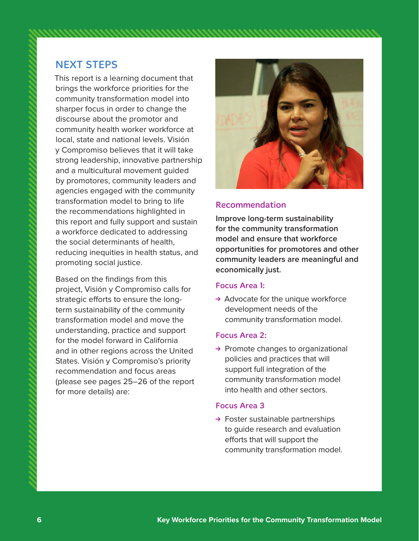### NEXT STEPS

This report is a learning document that brings the workforce priorities for the community transformation model into sharper focus in order to change the discourse about the promotor and community health worker workforce at local, state and national levels. Visión y Compromiso believes that it will take strong leadership, innovative partnership and a multicultural movement guided by promotores, community leaders and agencies engaged with the community transformation model to bring to life the recommendations highlighted in this report and fully support and sustain a workforce dedicated to addressing the social determinants of health, reducing inequities in health status, and promoting social justice.

Based on the findings from this project, Visión y Compromiso calls for strategic efforts to ensure the longterm sustainability of the community transformation model and move the understanding, practice and support for the model forward in California and in other regions across the United States. Visión y Compromiso's priority recommendation and focus areas (please see pages 25–26 of the report for more details) are:



#### Recommendation

**Improve long-term sustainability for the community transformation model and ensure that workforce opportunities for promotores and other community leaders are meaningful and economically just.**

#### Focus Area 1:

 $\rightarrow$  Advocate for the unique workforce development needs of the community transformation model.

#### Focus Area 2:

 $\rightarrow$  Promote changes to organizational policies and practices that will support full integration of the community transformation model into health and other sectors.

#### Focus Area 3

 $\rightarrow$  Foster sustainable partnerships to guide research and evaluation efforts that will support the community transformation model.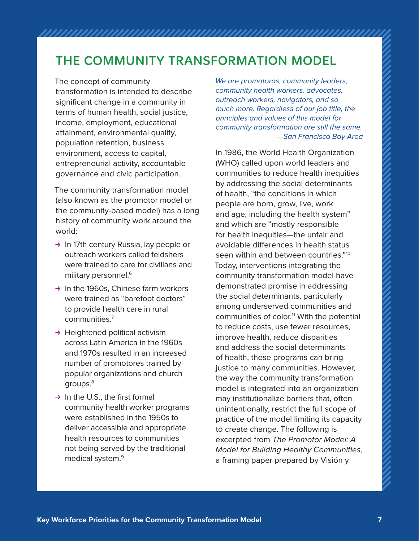# THE COMMUNITY TRANSFORMATION MODEL

The concept of community transformation is intended to describe significant change in a community in terms of human health, social justice, income, employment, educational attainment, environmental quality, population retention, business environment, access to capital, entrepreneurial activity, accountable governance and civic participation.

The community transformation model (also known as the promotor model or the community-based model) has a long history of community work around the world:

- $\rightarrow$  In 17th century Russia, lay people or outreach workers called feldshers were trained to care for civilians and military personnel.<sup>6</sup>
- $\rightarrow$  In the 1960s, Chinese farm workers were trained as "barefoot doctors" to provide health care in rural communities.7
- $\rightarrow$  Heightened political activism across Latin America in the 1960s and 1970s resulted in an increased number of promotores trained by popular organizations and church groups.8
- $\rightarrow$  In the U.S., the first formal community health worker programs were established in the 1950s to deliver accessible and appropriate health resources to communities not being served by the traditional medical system.9

We are promotoras, community leaders, community health workers, advocates, outreach workers, navigators, and so much more. Regardless of our job title, the principles and values of this model for community transformation are still the same. —San Francisco Bay Area

In 1986, the World Health Organization (WHO) called upon world leaders and communities to reduce health inequities by addressing the social determinants of health, "the conditions in which people are born, grow, live, work and age, including the health system" and which are "mostly responsible for health inequities—the unfair and avoidable differences in health status seen within and between countries."<sup>10</sup> Today, interventions integrating the community transformation model have demonstrated promise in addressing the social determinants, particularly among underserved communities and communities of color.<sup>11</sup> With the potential to reduce costs, use fewer resources, improve health, reduce disparities and address the social determinants of health, these programs can bring justice to many communities. However, the way the community transformation model is integrated into an organization may institutionalize barriers that, often unintentionally, restrict the full scope of practice of the model limiting its capacity to create change. The following is excerpted from The Promotor Model: A Model for Building Healthy Communities, a framing paper prepared by Visión y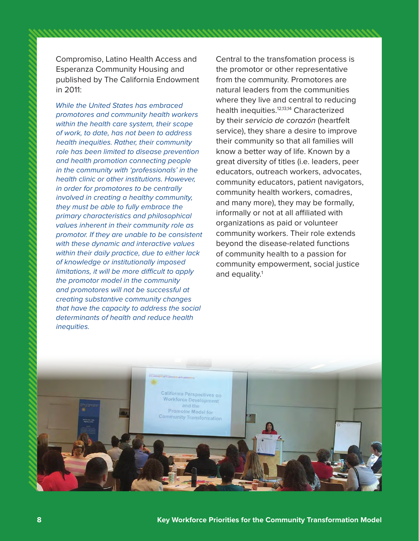Compromiso, Latino Health Access and Esperanza Community Housing and published by The California Endowment in 2011:

While the United States has embraced promotores and community health workers within the health care system, their scope of work, to date, has not been to address health inequities. Rather, their community role has been limited to disease prevention and health promotion connecting people in the community with 'professionals' in the health clinic or other institutions. However, in order for promotores to be centrally involved in creating a healthy community, they must be able to fully embrace the primary characteristics and philosophical values inherent in their community role as promotor. If they are unable to be consistent with these dynamic and interactive values within their daily practice, due to either lack of knowledge or institutionally imposed limitations, it will be more difficult to apply the promotor model in the community and promotores will not be successful at creating substantive community changes that have the capacity to address the social determinants of health and reduce health inequities.

Central to the transfomation process is the promotor or other representative from the community. Promotores are natural leaders from the communities where they live and central to reducing health inequities.12,13,14 Characterized by their servicio de corazón (heartfelt service), they share a desire to improve their community so that all families will know a better way of life. Known by a great diversity of titles (i.e. leaders, peer educators, outreach workers, advocates, community educators, patient navigators, community health workers, comadres, and many more), they may be formally, informally or not at all affiliated with organizations as paid or volunteer community workers. Their role extends beyond the disease-related functions of community health to a passion for community empowerment, social justice and equality.<sup>1</sup>

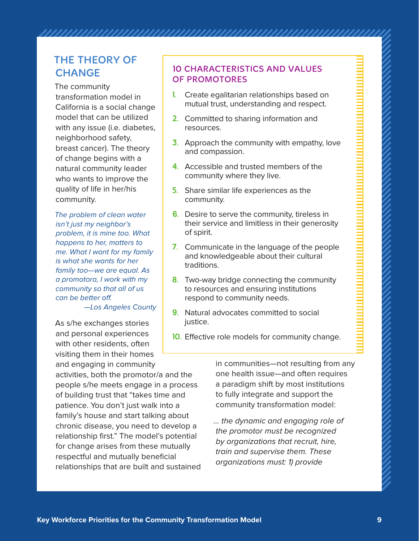# THE THEORY OF **CHANGE**

The community transformation model in California is a social change model that can be utilized with any issue (i.e. diabetes, neighborhood safety, breast cancer). The theory of change begins with a natural community leader who wants to improve the quality of life in her/his community.

The problem of clean water isn't just my neighbor's problem, it is mine too. What happens to her, matters to me. What I want for my family is what she wants for her family too—we are equal. As a promotora, I work with my community so that all of us can be better off.

—Los Angeles County

As s/he exchanges stories and personal experiences with other residents, often visiting them in their homes

and engaging in community activities, both the promotor/a and the people s/he meets engage in a process of building trust that "takes time and patience. You don't just walk into a family's house and start talking about chronic disease, you need to develop a relationship first." The model's potential for change arises from these mutually respectful and mutually beneficial relationships that are built and sustained

### 10 CHARACTERISTICS AND VALUES OF PROMOTORES

- **1.** Create egalitarian relationships based on mutual trust, understanding and respect.
- **2.** Committed to sharing information and resources.
- **3.** Approach the community with empathy, love and compassion.
- **4.** Accessible and trusted members of the community where they live.
- **5.** Share similar life experiences as the community.
- **6.** Desire to serve the community, tireless in their service and limitless in their generosity of spirit.
- **7.** Communicate in the language of the people and knowledgeable about their cultural traditions.
- **8.** Two-way bridge connecting the community to resources and ensuring institutions respond to community needs.
- **9.** Natural advocates committed to social justice.
- **10.** Effective role models for community change.

in communities—not resulting from any one health issue—and often requires a paradigm shift by most institutions to fully integrate and support the community transformation model:

… the dynamic and engaging role of the promotor must be recognized by organizations that recruit, hire, train and supervise them. These organizations must: 1) provide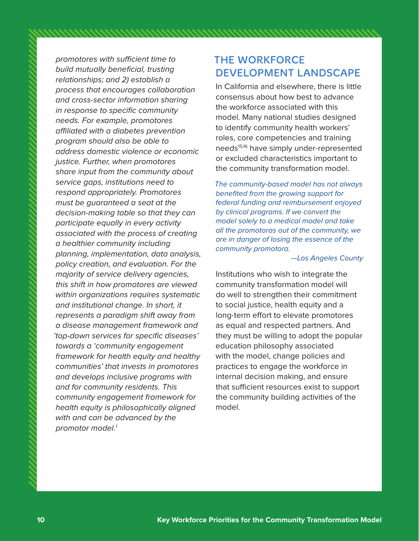promotores with sufficient time to build mutually beneficial, trusting relationships; and 2) establish a process that encourages collaboration and cross-sector information sharing in response to specific community needs. For example, promotores affiliated with a diabetes prevention program should also be able to address domestic violence or economic justice. Further, when promotores share input from the community about service gaps, institutions need to respond appropriately. Promotores must be guaranteed a seat at the decision-making table so that they can participate equally in every activity associated with the process of creating a healthier community including planning, implementation, data analysis, policy creation, and evaluation. For the majority of service delivery agencies, this shift in how promotores are viewed within organizations requires systematic and institutional change. In short, it represents a paradigm shift away from a disease management framework and 'top-down services for specific diseases' towards a 'community engagement framework for health equity and healthy communities' that invests in promotores and develops inclusive programs with and for community residents. This community engagement framework for health equity is philosophically aligned with and can be advanced by the promotor model.<sup>1</sup>

### THE WORKFORCE DEVELOPMENT LANDSCAPE

In California and elsewhere, there is little consensus about how best to advance the workforce associated with this model. Many national studies designed to identify community health workers' roles, core competencies and training needs<sup>15,16</sup> have simply under-represented or excluded characteristics important to the community transformation model.

The community-based model has not always benefited from the growing support for federal funding and reimbursement enjoyed by clinical programs. If we convert the model solely to a medical model and take all the promotoras out of the community, we are in danger of losing the essence of the community promotora.

#### —Los Angeles County

Institutions who wish to integrate the community transformation model will do well to strengthen their commitment to social justice, health equity and a long-term effort to elevate promotores as equal and respected partners. And they must be willing to adopt the popular education philosophy associated with the model, change policies and practices to engage the workforce in internal decision making, and ensure that sufficient resources exist to support the community building activities of the model.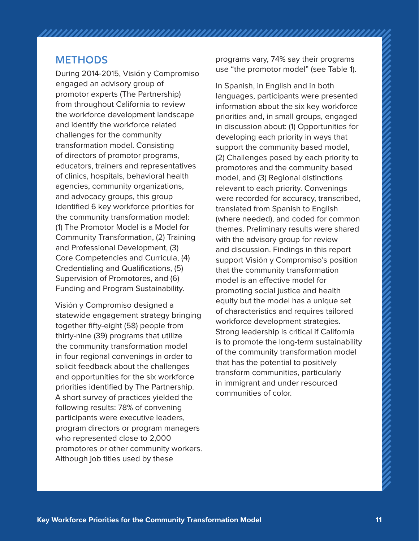### **METHODS**

During 2014-2015, Visión y Compromiso engaged an advisory group of promotor experts (The Partnership) from throughout California to review the workforce development landscape and identify the workforce related challenges for the community transformation model. Consisting of directors of promotor programs, educators, trainers and representatives of clinics, hospitals, behavioral health agencies, community organizations, and advocacy groups, this group identified 6 key workforce priorities for the community transformation model: (1) The Promotor Model is a Model for Community Transformation, (2) Training and Professional Development, (3) Core Competencies and Curricula, (4) Credentialing and Qualifications, (5) Supervision of Promotores, and (6) Funding and Program Sustainability.

Visión y Compromiso designed a statewide engagement strategy bringing together fifty-eight (58) people from thirty-nine (39) programs that utilize the community transformation model in four regional convenings in order to solicit feedback about the challenges and opportunities for the six workforce priorities identified by The Partnership. A short survey of practices yielded the following results: 78% of convening participants were executive leaders, program directors or program managers who represented close to 2,000 promotores or other community workers. Although job titles used by these

programs vary, 74% say their programs use "the promotor model" (see Table 1).

In Spanish, in English and in both languages, participants were presented information about the six key workforce priorities and, in small groups, engaged in discussion about: (1) Opportunities for developing each priority in ways that support the community based model, (2) Challenges posed by each priority to promotores and the community based model, and (3) Regional distinctions relevant to each priority. Convenings were recorded for accuracy, transcribed, translated from Spanish to English (where needed), and coded for common themes. Preliminary results were shared with the advisory group for review and discussion. Findings in this report support Visión y Compromiso's position that the community transformation model is an effective model for promoting social justice and health equity but the model has a unique set of characteristics and requires tailored workforce development strategies. Strong leadership is critical if California is to promote the long-term sustainability of the community transformation model that has the potential to positively transform communities, particularly in immigrant and under resourced communities of color.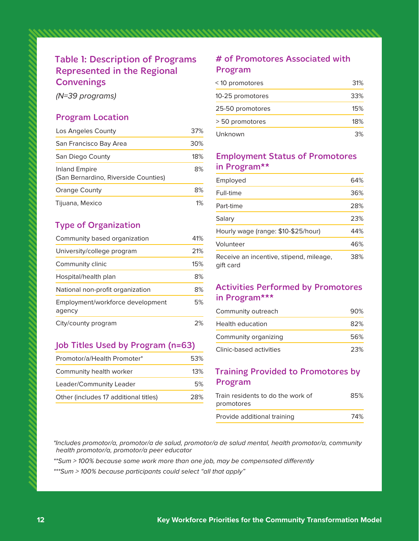### Table 1: Description of Programs Represented in the Regional **Convenings**

(N=39 programs)

#### Program Location

| Los Angeles County                                    | 37% |
|-------------------------------------------------------|-----|
| San Francisco Bay Area                                | 30% |
| San Diego County                                      | 18% |
| Inland Empire<br>(San Bernardino, Riverside Counties) | 8%  |
| <b>Orange County</b>                                  | 8%  |
| Tijuana, Mexico                                       | 1%  |

### Type of Organization

| Community based organization               | 41% |
|--------------------------------------------|-----|
| University/college program                 | 21% |
| Community clinic                           | 15% |
| Hospital/health plan                       | 8%  |
| National non-profit organization           | 8%  |
| Employment/workforce development<br>agency | 5%  |
| City/county program                        |     |

### Job Titles Used by Program (n=63)

| Promotor/a/Health Promoter*           | 53% |
|---------------------------------------|-----|
| Community health worker               | 13% |
| Leader/Community Leader               | 5%  |
| Other (includes 17 additional titles) | 28% |

### # of Promotores Associated with Program

| <10 promotores   | 31% |
|------------------|-----|
| 10-25 promotores | 33% |
| 25-50 promotores | 15% |
| > 50 promotores  | 18% |
| Unknown          | 3%  |

#### Employment Status of Promotores in Program\*\*

| Employed                                             | 64% |
|------------------------------------------------------|-----|
| Full-time                                            | 36% |
| Part-time                                            | 28% |
| Salary                                               | 23% |
| Hourly wage (range: \$10-\$25/hour)                  | 44% |
| Volunteer                                            | 46% |
| Receive an incentive, stipend, mileage,<br>aift card | 38% |

### Activities Performed by Promotores in Program\*\*\*

| Community outreach      | 90% |  |
|-------------------------|-----|--|
| <b>Health education</b> | 82% |  |
| Community organizing    | 56% |  |
| Clinic-based activities | 23% |  |

### Training Provided to Promotores by Program

| Train residents to do the work of | 85% |
|-----------------------------------|-----|
| promotores                        |     |
| Provide additional training       | 74% |

\*Includes promotor/a, promotor/a de salud, promotor/a de salud mental, health promotor/a, community health promotor/a, promotor/a peer educator

\*\*Sum > 100% because some work more than one job, may be compensated differently

\*\*\*Sum > 100% because participants could select "all that apply"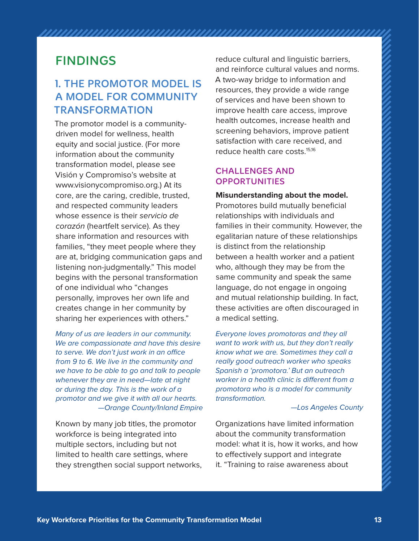# FINDINGS

## 1. THE PROMOTOR MODEL IS A MODEL FOR COMMUNITY TRANSFORMATION

The promotor model is a communitydriven model for wellness, health equity and social justice. (For more information about the community transformation model, please see Visión y Compromiso's website at [www.visionycompromiso.org.\) At](http://www.visionycompromiso.org) its core, are the caring, credible, trusted, and respected community leaders whose essence is their servicio de corazón (heartfelt service). As they share information and resources with families, "they meet people where they are at, bridging communication gaps and listening non-judgmentally." This model begins with the personal transformation of one individual who "changes personally, improves her own life and creates change in her community by sharing her experiences with others."

Many of us are leaders in our community. We are compassionate and have this desire to serve. We don't just work in an office from 9 to 6. We live in the community and we have to be able to go and talk to people whenever they are in need—late at night or during the day. This is the work of a promotor and we give it with all our hearts. —Orange County/Inland Empire

Known by many job titles, the promotor workforce is being integrated into multiple sectors, including but not limited to health care settings, where they strengthen social support networks, reduce cultural and linguistic barriers, and reinforce cultural values and norms. A two-way bridge to information and resources, they provide a wide range of services and have been shown to improve health care access, improve health outcomes, increase health and screening behaviors, improve patient satisfaction with care received, and reduce health care costs.15,16

### CHALLENGES AND **OPPORTUNITIES**

**Misunderstanding about the model.**  Promotores build mutually beneficial relationships with individuals and families in their community. However, the egalitarian nature of these relationships is distinct from the relationship between a health worker and a patient who, although they may be from the same community and speak the same language, do not engage in ongoing and mutual relationship building. In fact, these activities are often discouraged in a medical setting.

Everyone loves promotoras and they all want to work with us, but they don't really know what we are. Sometimes they call a really good outreach worker who speaks Spanish a 'promotora.' But an outreach worker in a health clinic is different from a promotora who is a model for community transformation.

#### —Los Angeles County

Organizations have limited information about the community transformation model: what it is, how it works, and how to effectively support and integrate it. "Training to raise awareness about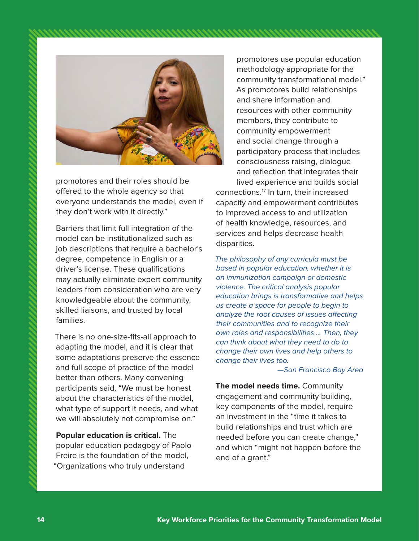



promotores and their roles should be offered to the whole agency so that everyone understands the model, even if they don't work with it directly."

Barriers that limit full integration of the model can be institutionalized such as job descriptions that require a bachelor's degree, competence in English or a driver's license. These qualifications may actually eliminate expert community leaders from consideration who are very knowledgeable about the community, skilled liaisons, and trusted by local families.

There is no one-size-fits-all approach to adapting the model, and it is clear that some adaptations preserve the essence and full scope of practice of the model better than others. Many convening participants said, "We must be honest about the characteristics of the model, what type of support it needs, and what we will absolutely not compromise on."

**Popular education is critical.** The popular education pedagogy of Paolo Freire is the foundation of the model, "Organizations who truly understand

promotores use popular education methodology appropriate for the community transformational model." As promotores build relationships and share information and resources with other community members, they contribute to community empowerment and social change through a participatory process that includes consciousness raising, dialogue and reflection that integrates their

lived experience and builds social connections.17 In turn, their increased capacity and empowerment contributes to improved access to and utilization of health knowledge, resources, and services and helps decrease health disparities.

The philosophy of any curricula must be based in popular education, whether it is an immunization campaign or domestic violence. The critical analysis popular education brings is transformative and helps us create a space for people to begin to analyze the root causes of issues affecting their communities and to recognize their own roles and responsibilities ... Then, they can think about what they need to do to change their own lives and help others to change their lives too.

—San Francisco Bay Area

**The model needs time.** Community engagement and community building, key components of the model, require an investment in the "time it takes to build relationships and trust which are needed before you can create change," and which "might not happen before the end of a grant."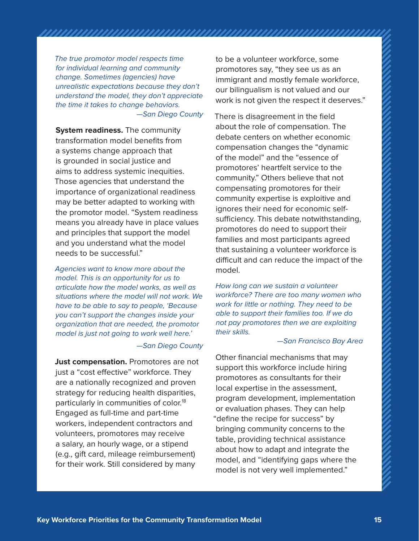The true promotor model respects time for individual learning and community change. Sometimes (agencies) have unrealistic expectations because they don't understand the model, they don't appreciate the time it takes to change behaviors. —San Diego County

**System readiness.** The community transformation model benefits from a systems change approach that is grounded in social justice and aims to address systemic inequities. Those agencies that understand the importance of organizational readiness may be better adapted to working with the promotor model. "System readiness means you already have in place values and principles that support the model and you understand what the model needs to be successful."

Agencies want to know more about the model. This is an opportunity for us to articulate how the model works, as well as situations where the model will not work. We have to be able to say to people, 'Because you can't support the changes inside your organization that are needed, the promotor model is just not going to work well here.'

—San Diego County

**Just compensation.** Promotores are not just a "cost effective" workforce. They are a nationally recognized and proven strategy for reducing health disparities, particularly in communities of color.<sup>18</sup> Engaged as full-time and part-time workers, independent contractors and volunteers, promotores may receive a salary, an hourly wage, or a stipend (e.g., gift card, mileage reimbursement) for their work. Still considered by many

to be a volunteer workforce, some promotores say, "they see us as an immigrant and mostly female workforce, our bilingualism is not valued and our work is not given the respect it deserves."

There is disagreement in the field about the role of compensation. The debate centers on whether economic compensation changes the "dynamic of the model" and the "essence of promotores' heartfelt service to the community." Others believe that not compensating promotores for their community expertise is exploitive and ignores their need for economic selfsufficiency. This debate notwithstanding, promotores do need to support their families and most participants agreed that sustaining a volunteer workforce is difficult and can reduce the impact of the model.

How long can we sustain a volunteer workforce? There are too many women who work for little or nothing. They need to be able to support their families too. If we do not pay promotores then we are exploiting their skills.

#### —San Francisco Bay Area

Other financial mechanisms that may support this workforce include hiring promotores as consultants for their local expertise in the assessment, program development, implementation or evaluation phases. They can help "define the recipe for success" by bringing community concerns to the table, providing technical assistance about how to adapt and integrate the model, and "identifying gaps where the model is not very well implemented."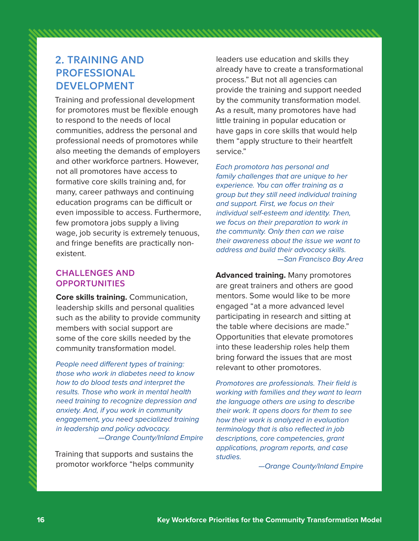## 2. TRAINING AND PROFESSIONAL DEVELOPMENT

Training and professional development for promotores must be flexible enough to respond to the needs of local communities, address the personal and professional needs of promotores while also meeting the demands of employers and other workforce partners. However, not all promotores have access to formative core skills training and, for many, career pathways and continuing education programs can be difficult or even impossible to access. Furthermore, few promotora jobs supply a living wage, job security is extremely tenuous, and fringe benefits are practically nonexistent.

### CHALLENGES AND **OPPORTUNITIES**

**Core skills training.** Communication, leadership skills and personal qualities such as the ability to provide community members with social support are some of the core skills needed by the community transformation model.

People need different types of training: those who work in diabetes need to know how to do blood tests and interpret the results. Those who work in mental health need training to recognize depression and anxiety. And, if you work in community engagement, you need specialized training in leadership and policy advocacy. —Orange County/Inland Empire

Training that supports and sustains the promotor workforce "helps community

leaders use education and skills they already have to create a transformational process." But not all agencies can provide the training and support needed by the community transformation model. As a result, many promotores have had little training in popular education or have gaps in core skills that would help them "apply structure to their heartfelt service."

Each promotora has personal and family challenges that are unique to her experience. You can offer training as a group but they still need individual training and support. First, we focus on their individual self-esteem and identity. Then, we focus on their preparation to work in the community. Only then can we raise their awareness about the issue we want to address and build their advocacy skills. —San Francisco Bay Area

**Advanced training.** Many promotores are great trainers and others are good mentors. Some would like to be more engaged "at a more advanced level participating in research and sitting at the table where decisions are made." Opportunities that elevate promotores into these leadership roles help them bring forward the issues that are most relevant to other promotores.

Promotores are professionals. Their field is working with families and they want to learn the language others are using to describe their work. It opens doors for them to see how their work is analyzed in evaluation terminology that is also reflected in job descriptions, core competencies, grant applications, program reports, and case studies.

—Orange County/Inland Empire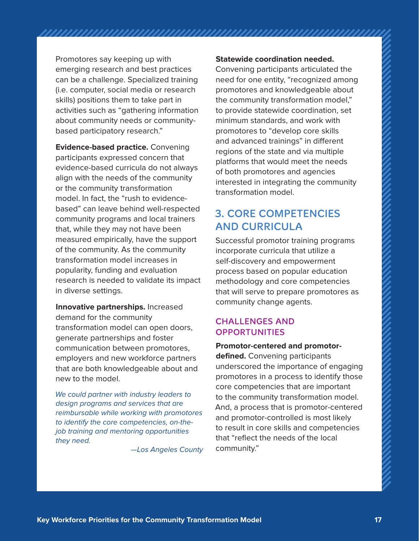Promotores say keeping up with emerging research and best practices can be a challenge. Specialized training (i.e. computer, social media or research skills) positions them to take part in activities such as "gathering information about community needs or communitybased participatory research."

**Evidence-based practice.** Convening participants expressed concern that evidence-based curricula do not always align with the needs of the community or the community transformation model. In fact, the "rush to evidencebased" can leave behind well-respected community programs and local trainers that, while they may not have been measured empirically, have the support of the community. As the community transformation model increases in popularity, funding and evaluation research is needed to validate its impact in diverse settings.

**Innovative partnerships.** Increased demand for the community transformation model can open doors, generate partnerships and foster communication between promotores, employers and new workforce partners that are both knowledgeable about and new to the model.

We could partner with industry leaders to design programs and services that are reimbursable while working with promotores to identify the core competencies, on-thejob training and mentoring opportunities they need.

—Los Angeles County

#### **Statewide coordination needed.**

Convening participants articulated the need for one entity, "recognized among promotores and knowledgeable about the community transformation model," to provide statewide coordination, set minimum standards, and work with promotores to "develop core skills and advanced trainings" in different regions of the state and via multiple platforms that would meet the needs of both promotores and agencies interested in integrating the community transformation model.

### 3. CORE COMPETENCIES AND CURRICULA

Successful promotor training programs incorporate curricula that utilize a self-discovery and empowerment process based on popular education methodology and core competencies that will serve to prepare promotores as community change agents.

### CHALLENGES AND **OPPORTUNITIES**

**Promotor-centered and promotordefined.** Convening participants underscored the importance of engaging promotores in a process to identify those core competencies that are important to the community transformation model. And, a process that is promotor-centered and promotor-controlled is most likely to result in core skills and competencies that "reflect the needs of the local community."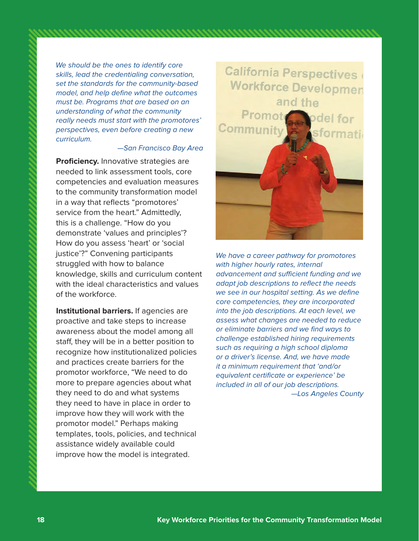We should be the ones to identify core skills, lead the credentialing conversation, set the standards for the community-based model, and help define what the outcomes must be. Programs that are based on an understanding of what the community really needs must start with the promotores' perspectives, even before creating a new curriculum.

#### —San Francisco Bay Area

**Proficiency.** Innovative strategies are needed to link assessment tools, core competencies and evaluation measures to the community transformation model in a way that reflects "promotores' service from the heart." Admittedly, this is a challenge. "How do you demonstrate 'values and principles'? How do you assess 'heart' or 'social justice'?" Convening participants struggled with how to balance knowledge, skills and curriculum content with the ideal characteristics and values of the workforce.

**Institutional barriers.** If agencies are proactive and take steps to increase awareness about the model among all staff, they will be in a better position to recognize how institutionalized policies and practices create barriers for the promotor workforce, "We need to do more to prepare agencies about what they need to do and what systems they need to have in place in order to improve how they will work with the promotor model." Perhaps making templates, tools, policies, and technical assistance widely available could improve how the model is integrated.



We have a career pathway for promotores with higher hourly rates, internal advancement and sufficient funding and we adapt job descriptions to reflect the needs we see in our hospital setting. As we define core competencies, they are incorporated into the job descriptions. At each level, we assess what changes are needed to reduce or eliminate barriers and we find ways to challenge established hiring requirements such as requiring a high school diploma or a driver's license. And, we have made it a minimum requirement that 'and/or equivalent certificate or experience' be included in all of our job descriptions. —Los Angeles County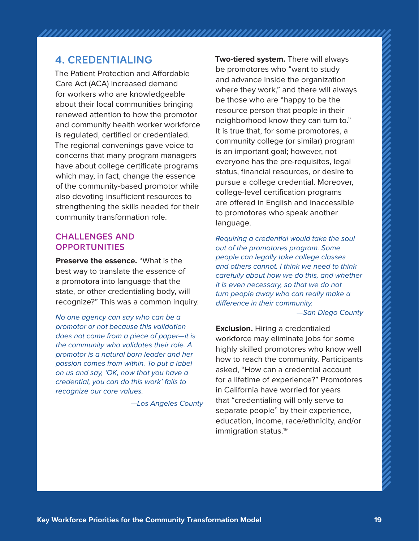### 4. CREDENTIALING

The Patient Protection and Affordable Care Act (ACA) increased demand for workers who are knowledgeable about their local communities bringing renewed attention to how the promotor and community health worker workforce is regulated, certified or credentialed. The regional convenings gave voice to concerns that many program managers have about college certificate programs which may, in fact, change the essence of the community-based promotor while also devoting insufficient resources to strengthening the skills needed for their community transformation role.

### CHALLENGES AND **OPPORTUNITIES**

**Preserve the essence.** "What is the best way to translate the essence of a promotora into language that the state, or other credentialing body, will recognize?" This was a common inquiry.

No one agency can say who can be a promotor or not because this validation does not come from a piece of paper—it is the community who validates their role. A promotor is a natural born leader and her passion comes from within. To put a label on us and say, 'OK, now that you have a credential, you can do this work' fails to recognize our core values.

—Los Angeles County

**Two-tiered system.** There will always be promotores who "want to study and advance inside the organization where they work," and there will always be those who are "happy to be the resource person that people in their neighborhood know they can turn to." It is true that, for some promotores, a community college (or similar) program is an important goal; however, not everyone has the pre-requisites, legal status, financial resources, or desire to pursue a college credential. Moreover, college-level certification programs are offered in English and inaccessible to promotores who speak another language.

Requiring a credential would take the soul out of the promotores program. Some people can legally take college classes and others cannot. I think we need to think carefully about how we do this, and whether it is even necessary, so that we do not turn people away who can really make a difference in their community.

—San Diego County

**Exclusion.** Hiring a credentialed workforce may eliminate jobs for some highly skilled promotores who know well how to reach the community. Participants asked, "How can a credential account for a lifetime of experience?" Promotores in California have worried for years that "credentialing will only serve to separate people" by their experience, education, income, race/ethnicity, and/or immigration status.<sup>19</sup>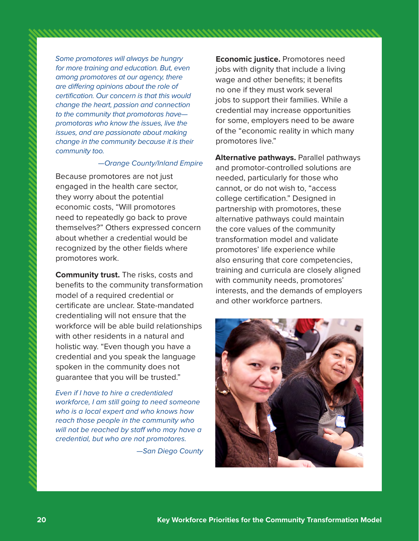Some promotores will always be hungry for more training and education. But, even among promotores at our agency, there are differing opinions about the role of certification. Our concern is that this would change the heart, passion and connection to the community that promotoras have promotoras who know the issues, live the issues, and are passionate about making change in the community because it is their community too.

#### —Orange County/Inland Empire

Because promotores are not just engaged in the health care sector, they worry about the potential economic costs, "Will promotores need to repeatedly go back to prove themselves?" Others expressed concern about whether a credential would be recognized by the other fields where promotores work.

**Community trust.** The risks, costs and benefits to the community transformation model of a required credential or certificate are unclear. State-mandated credentialing will not ensure that the workforce will be able build relationships with other residents in a natural and holistic way. "Even though you have a credential and you speak the language spoken in the community does not guarantee that you will be trusted."

Even if I have to hire a credentialed workforce, I am still going to need someone who is a local expert and who knows how reach those people in the community who will not be reached by staff who may have a credential, but who are not promotores.

—San Diego County

**Economic justice.** Promotores need jobs with dignity that include a living wage and other benefits; it benefits no one if they must work several jobs to support their families. While a credential may increase opportunities for some, employers need to be aware of the "economic reality in which many promotores live."

**Alternative pathways.** Parallel pathways and promotor-controlled solutions are needed, particularly for those who cannot, or do not wish to, "access college certification." Designed in partnership with promotores, these alternative pathways could maintain the core values of the community transformation model and validate promotores' life experience while also ensuring that core competencies, training and curricula are closely aligned with community needs, promotores' interests, and the demands of employers and other workforce partners.

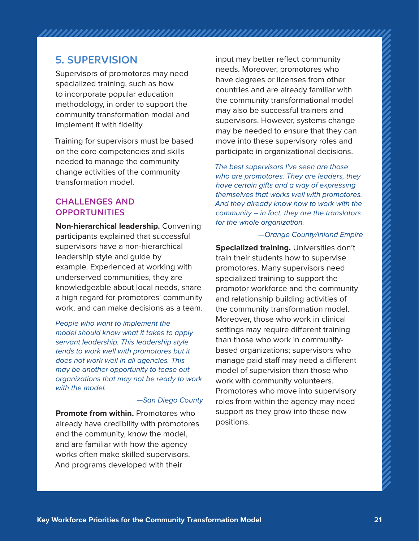### 5. SUPERVISION

Supervisors of promotores may need specialized training, such as how to incorporate popular education methodology, in order to support the community transformation model and implement it with fidelity.

Training for supervisors must be based on the core competencies and skills needed to manage the community change activities of the community transformation model.

### CHALLENGES AND **OPPORTUNITIES**

**Non-hierarchical leadership.** Convening participants explained that successful supervisors have a non-hierarchical leadership style and guide by example. Experienced at working with underserved communities, they are knowledgeable about local needs, share a high regard for promotores' community work, and can make decisions as a team.

People who want to implement the model should know what it takes to apply servant leadership. This leadership style tends to work well with promotores but it does not work well in all agencies. This may be another opportunity to tease out organizations that may not be ready to work with the model.

—San Diego County

**Promote from within.** Promotores who already have credibility with promotores and the community, know the model, and are familiar with how the agency works often make skilled supervisors. And programs developed with their

input may better reflect community needs. Moreover, promotores who have degrees or licenses from other countries and are already familiar with the community transformational model may also be successful trainers and supervisors. However, systems change may be needed to ensure that they can move into these supervisory roles and participate in organizational decisions.

The best supervisors I've seen are those who are promotores. They are leaders, they have certain gifts and a way of expressing themselves that works well with promotores. And they already know how to work with the community – in fact, they are the translators for the whole organization.

#### —Orange County/Inland Empire

**Specialized training.** Universities don't train their students how to supervise promotores. Many supervisors need specialized training to support the promotor workforce and the community and relationship building activities of the community transformation model. Moreover, those who work in clinical settings may require different training than those who work in communitybased organizations; supervisors who manage paid staff may need a different model of supervision than those who work with community volunteers. Promotores who move into supervisory roles from within the agency may need support as they grow into these new positions.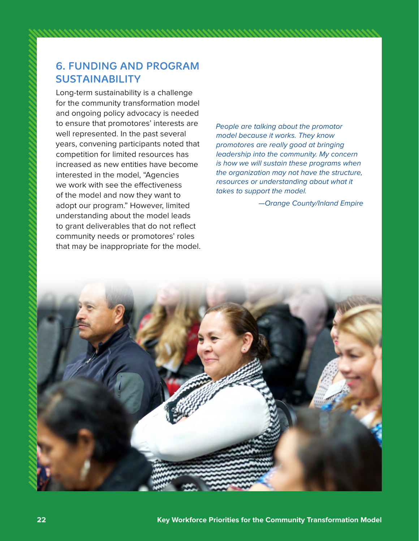## 6. FUNDING AND PROGRAM SUSTAINABILITY

Long-term sustainability is a challenge for the community transformation model and ongoing policy advocacy is needed to ensure that promotores' interests are well represented. In the past several years, convening participants noted that competition for limited resources has increased as new entities have become interested in the model, "Agencies we work with see the effectiveness of the model and now they want to adopt our program." However, limited understanding about the model leads to grant deliverables that do not reflect community needs or promotores' roles that may be inappropriate for the model.

People are talking about the promotor model because it works. They know promotores are really good at bringing leadership into the community. My concern is how we will sustain these programs when the organization may not have the structure, resources or understanding about what it takes to support the model.

—Orange County/Inland Empire

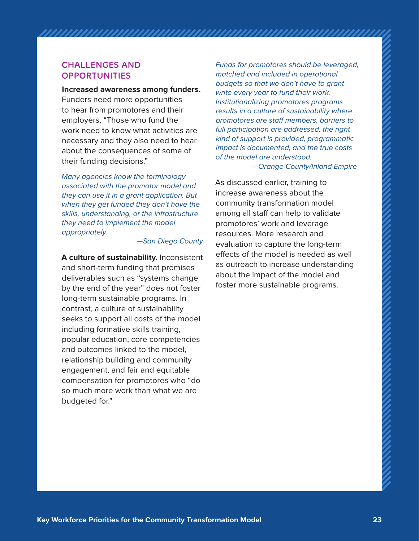#### CHALL ENGES AND **OPPORTUNITIES**

**Increased awareness among funders.**  Funders need more opportunities to hear from promotores and their employers, "Those who fund the work need to know what activities are necessary and they also need to hear about the consequences of some of their funding decisions."

Many agencies know the terminology associated with the promotor model and they can use it in a grant application. But when they get funded they don't have the skills, understanding, or the infrastructure they need to implement the model appropriately.

—San Diego County

**A culture of sustainability.** Inconsistent and short-term funding that promises deliverables such as "systems change by the end of the year" does not foster long-term sustainable programs. In contrast, a culture of sustainability seeks to support all costs of the model including formative skills training, popular education, core competencies and outcomes linked to the model, relationship building and community engagement, and fair and equitable compensation for promotores who "do so much more work than what we are budgeted for."

Funds for promotores should be leveraged, matched and included in operational budgets so that we don't have to grant write every year to fund their work. Institutionalizing promotores programs results in a culture of sustainability where promotores are staff members, barriers to full participation are addressed, the right kind of support is provided, programmatic impact is documented, and the true costs of the model are understood.

—Orange County/Inland Empire

As discussed earlier, training to increase awareness about the community transformation model among all staff can help to validate promotores' work and leverage resources. More research and evaluation to capture the long-term effects of the model is needed as well as outreach to increase understanding about the impact of the model and foster more sustainable programs.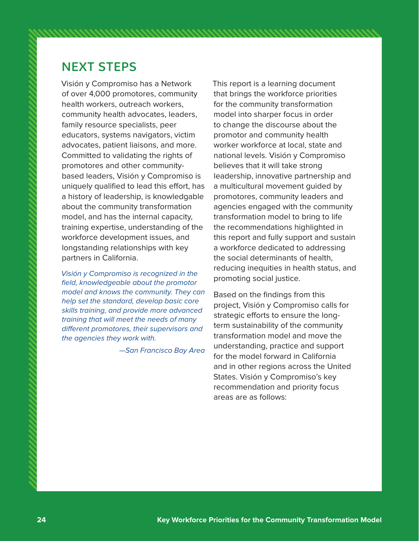# NEXT STEPS

Visión y Compromiso has a Network of over 4,000 promotores, community health workers, outreach workers, community health advocates, leaders, family resource specialists, peer educators, systems navigators, victim advocates, patient liaisons, and more. Committed to validating the rights of promotores and other communitybased leaders, Visión y Compromiso is uniquely qualified to lead this effort, has a history of leadership, is knowledgable about the community transformation model, and has the internal capacity, training expertise, understanding of the workforce development issues, and longstanding relationships with key partners in California.

Visión y Compromiso is recognized in the field, knowledgeable about the promotor model and knows the community. They can help set the standard, develop basic core skills training, and provide more advanced training that will meet the needs of many different promotores, their supervisors and the agencies they work with.

—San Francisco Bay Area

This report is a learning document that brings the workforce priorities for the community transformation model into sharper focus in order to change the discourse about the promotor and community health worker workforce at local, state and national levels. Visión y Compromiso believes that it will take strong leadership, innovative partnership and a multicultural movement guided by promotores, community leaders and agencies engaged with the community transformation model to bring to life the recommendations highlighted in this report and fully support and sustain a workforce dedicated to addressing the social determinants of health, reducing inequities in health status, and promoting social justice.

Based on the findings from this project, Visión y Compromiso calls for strategic efforts to ensure the longterm sustainability of the community transformation model and move the understanding, practice and support for the model forward in California and in other regions across the United States. Visión y Compromiso's key recommendation and priority focus areas are as follows: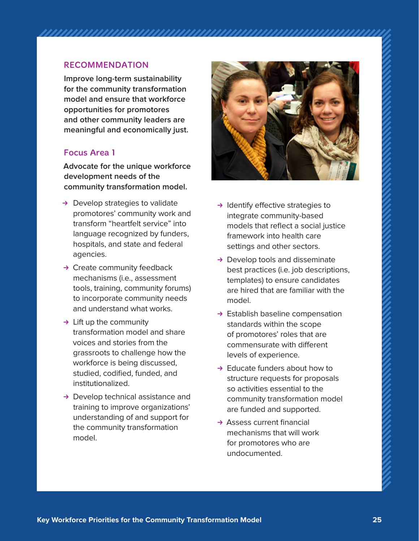### RECOMMENDATION

**Improve long-term sustainability for the community transformation model and ensure that workforce opportunities for promotores and other community leaders are meaningful and economically just.**

#### Focus Area 1

**Advocate for the unique workforce development needs of the community transformation model.**

- $\rightarrow$  Develop strategies to validate promotores' community work and transform "heartfelt service" into language recognized by funders, hospitals, and state and federal agencies.
- $\rightarrow$  Create community feedback mechanisms (i.e., assessment tools, training, community forums) to incorporate community needs and understand what works.
- $\rightarrow$  Lift up the community transformation model and share voices and stories from the grassroots to challenge how the workforce is being discussed, studied, codified, funded, and institutionalized.
- $\rightarrow$  Develop technical assistance and training to improve organizations' understanding of and support for the community transformation model.



- $\rightarrow$  Identify effective strategies to integrate community-based models that reflect a social justice framework into health care settings and other sectors.
- $\rightarrow$  Develop tools and disseminate best practices (i.e. job descriptions, templates) to ensure candidates are hired that are familiar with the model.
- $\rightarrow$  Establish baseline compensation standards within the scope of promotores' roles that are commensurate with different levels of experience.
- $\rightarrow$  Educate funders about how to structure requests for proposals so activities essential to the community transformation model are funded and supported.
- $\rightarrow$  Assess current financial mechanisms that will work for promotores who are undocumented.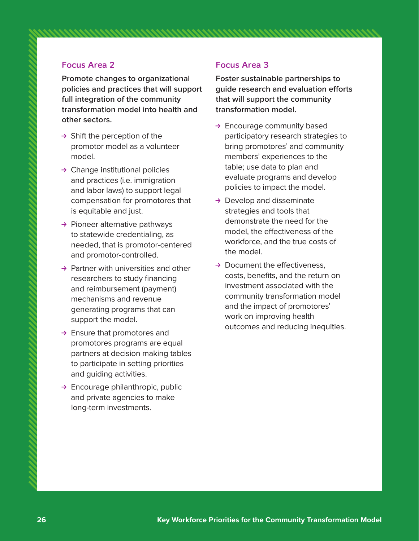### Focus Area 2

**Promote changes to organizational policies and practices that will support full integration of the community transformation model into health and other sectors.**

- $\rightarrow$  Shift the perception of the promotor model as a volunteer model.
- $\rightarrow$  Change institutional policies and practices (i.e. immigration and labor laws) to support legal compensation for promotores that is equitable and just.
- $\rightarrow$  Pioneer alternative pathways to statewide credentialing, as needed, that is promotor-centered and promotor-controlled.
- $\rightarrow$  Partner with universities and other researchers to study financing and reimbursement (payment) mechanisms and revenue generating programs that can support the model.
- $\rightarrow$  Ensure that promotores and promotores programs are equal partners at decision making tables to participate in setting priorities and guiding activities.
- $\rightarrow$  Encourage philanthropic, public and private agencies to make long-term investments.

### Focus Area 3

**Foster sustainable partnerships to guide research and evaluation efforts that will support the community transformation model.**

- $\rightarrow$  Encourage community based participatory research strategies to bring promotores' and community members' experiences to the table; use data to plan and evaluate programs and develop policies to impact the model.
- $\rightarrow$  Develop and disseminate strategies and tools that demonstrate the need for the model, the effectiveness of the workforce, and the true costs of the model.
- $\rightarrow$  Document the effectiveness. costs, benefits, and the return on investment associated with the community transformation model and the impact of promotores' work on improving health outcomes and reducing inequities.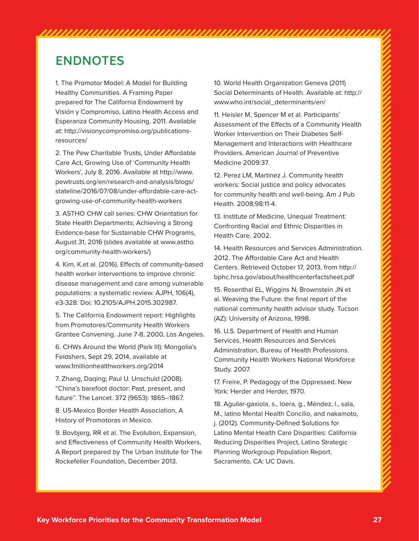# ENDNOTES

1. The Promotor Model: A Model for Building Healthy Communities. A Framing Paper prepared for The California Endowment by Visión y Compromiso, Latino Health Access and Esperanza Community Housing, 2011. Available [at: http://visionycompromiso.org/publications](http://visionycompromiso.org/publications-resources/2)resources/

[2. Th](http://visionycompromiso.org/publications-resources/2)e Pew Charitable Trusts, Under Affordable Care Act, Growing Use of 'Community Health Workers', July 8, 2016. Available at [http://www.](http://www) pewtrusts.org/en/research-and-analysis/blogs/ stateline/2016/07/08/under-affordable-care-actgrowing-use-of-community-health-workers

3. ASTHO CHW call series: CHW Orientation for State Health Departments; Achieving a Strong Evidence-base for Sustainable CHW Programs, August 31, 2016 (slides available at [www.astho.](http://www.astho) org/community-health-workers/)

4. Kim, K.et al. (2016). Effects of community-based health worker interventions to improve chronic disease management and care among vulnerable populations: a systematic review. AJPH, 106(4), e3-328. Doi: 10.2105/AJPH.2015.302987.

5. The California Endowment report: Highlights from Promotores/Community Health Workers Grantee Convening. June 7-8, 2000, Los Angeles.

6. CHWs Around the World (Park III): Mongolia's Feldshers, Sept 29, 2014, available at [www.1millionhealthworkers.org/2014](http://www.1millionhealthworkers.org/2014)

7. Zhang, Daqing; Paul U. Unschuld (2008). "China's barefoot doctor: Past, present, and future". The Lancet. 372 (9653): 1865–1867.

8. US-Mexico Border Health Association, A History of Promotoras in Mexico.

9. Bovbjerg, RR et al. The Evolution, Expansion, and Effectiveness of Community Health Workers, A Report prepared by The Urban Institute for The Rockefeller Foundation, December 2013.

10. World Health Organization Geneva (2011) Social Determinants of Health. Available at: [http://](http://www.who.int/social_determinants/en/) [www.who.int/social\\_determinants/en/](http://www.who.int/social_determinants/en/) 

11. Heisler M, Spencer M et al. Participants' Assessment of the Effects of a Community Health Worker Intervention on Their Diabetes Self-Management and Interactions with Healthcare Providers. American Journal of Preventive Medicine 2009:37.

12. Perez LM, Martinez J. Community health workers: Social justice and policy advocates for community health and well-being. Am J Pub Health. 2008;98:11-4.

13. Institute of Medicine, Unequal Treatment: Confronting Racial and Ethnic Disparities in Health Care, 2002.

14. Health Resources and Services Administration. 2012. The Affordable Care Act and Health Centers. Retrieved October 17, 2013, from [http://](http://bphc.hrsa.gov/about/healthcenterfactsheet.pdf) [bphc.hrsa.gov/about/healthcenterfactsheet.pdf](http://bphc.hrsa.gov/about/healthcenterfactsheet.pdf) 

15. Rosenthal EL, Wiggins N, Brownstein JN et al. Weaving the Future: the final report of the national community health advisor study. Tucson (AZ): University of Arizona, 1998.

16. U.S. Department of Health and Human Services, Health Resources and Services Administration, Bureau of Health Professions. Community Health Workers National Workforce Study. 2007.

17. Freire, P. Pedagogy of the Oppressed. New York: Herder and Herder, 1970.

18. Aguilar-gaxiola, s., loera, g., Méndez, l., sala, M., latino Mental Health Concilio, and nakamoto, j. (2012). Community-Defined Solutions for Latino Mental Health Care Disparities: California Reducing Disparities Project, Latino Strategic Planning Workgroup Population Report. Sacramento, CA: UC Davis.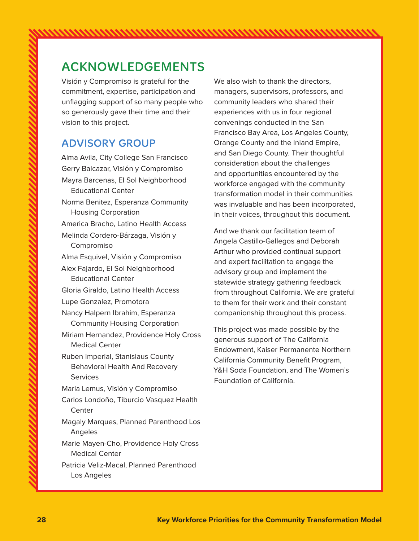# ACKNOWLEDGEMENTS

Visión y Compromiso is grateful for the commitment, expertise, participation and unflagging support of so many people who so generously gave their time and their vision to this project.

### ADVISORY GROUP

Alma Avila, City College San Francisco Gerry Balcazar, Visión y Compromiso Mayra Barcenas, El Sol Neighborhood Educational Center Norma Benitez, Esperanza Community Housing Corporation America Bracho, Latino Health Access Melinda Cordero-Bárzaga, Visión y Compromiso Alma Esquivel, Visión y Compromiso Alex Fajardo, El Sol Neighborhood Educational Center Gloria Giraldo, Latino Health Access Lupe Gonzalez, Promotora Nancy Halpern Ibrahim, Esperanza Community Housing Corporation Miriam Hernandez, Providence Holy Cross Medical Center Ruben Imperial, Stanislaus County Behavioral Health And Recovery **Services** Maria Lemus, Visión y Compromiso Carlos Londoño, Tiburcio Vasquez Health Center Magaly Marques, Planned Parenthood Los Angeles Marie Mayen-Cho, Providence Holy Cross Medical Center Patricia Veliz-Macal, Planned Parenthood Los Angeles

We also wish to thank the directors, managers, supervisors, professors, and community leaders who shared their experiences with us in four regional convenings conducted in the San Francisco Bay Area, Los Angeles County, Orange County and the Inland Empire, and San Diego County. Their thoughtful consideration about the challenges and opportunities encountered by the workforce engaged with the community transformation model in their communities was invaluable and has been incorporated, in their voices, throughout this document.

And we thank our facilitation team of Angela Castillo-Gallegos and Deborah Arthur who provided continual support and expert facilitation to engage the advisory group and implement the statewide strategy gathering feedback from throughout California. We are grateful to them for their work and their constant companionship throughout this process.

This project was made possible by the generous support of The California Endowment, Kaiser Permanente Northern California Community Benefit Program, Y&H Soda Foundation, and The Women's Foundation of California.